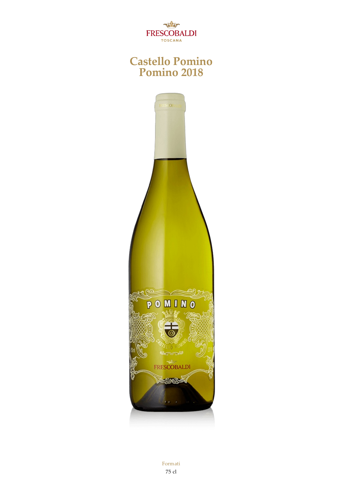

#### **Castello Pomino Pomino 2018**



Formati 75 cl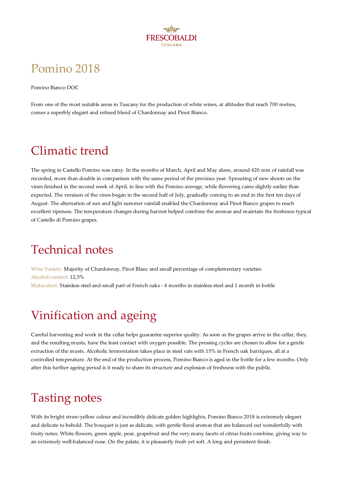

# Pomino 2018

Pomino Bianco DOC

From one of the most suitable areas in Tuscany for the production of white wines, at altitudes that reach 700 metres, comes asuperbly elegant and refined blend of Chardonnay and Pinot Bianco.

## Climatic trend

The spring in Castello Pomino was rainy. In the months of March, April and May alone, around 420 mm of rainfall was recorded, more than double in comparison with the same period of the previous year. Sprouting of new shoots on the vines finished in the second week of April, in line with the Pomino average, while flowering came slightly earlier than expected. The veraison of the vines began in the second half of July, gradually coming to an end in the first ten days of August. The alternation of sun and light summer rainfall enabled the Chardonnay and Pinot Bianco grapes to reach excellent ripeness. The temperature changes during harvest helped combine the aromas and maintain the freshness typical of Castello di Pomino grapes.

## Technical notes

Wine Variety: Majority of Chardonnay, Pinot Blanc and small percentage of complementary varieties Alcohol content: 12,5% Maturation: Stainless steel and small part of French oaks - 4 months in stainless steel and 1 month in bottle

# Vinification and ageing

Careful harvesting and work in the cellar helps guarantee superior quality. As soon as the grapes arrive in the cellar, they, and the resulting musts, have the least contact with oxygen possible. The pressing cycles are chosen to allow for a gentle extraction of the musts. Alcoholic fermentation takes place in steel vats with 15% in French oak barriques, all at a controlled temperature. At the end of the production process, Pomino Bianco is aged in the bottle for afew months. Only after this further ageing period is it ready to share its structure and explosion of freshness with the public.

### Tasting notes

With its bright straw-yellow colour and incredibly delicate golden highlights, Pomino Bianco 2018 is extremely elegant and delicate to behold. The bouquet is just as delicate, with gentle floral aromas that are balanced out wonderfully with fruity notes. White flowers, green apple, pear, grapefruit and the very many facets of citrus fruits combine, giving way to an extremely well-balanced nose. On the palate, it is pleasantly fresh yet soft. A long and persistent finish.